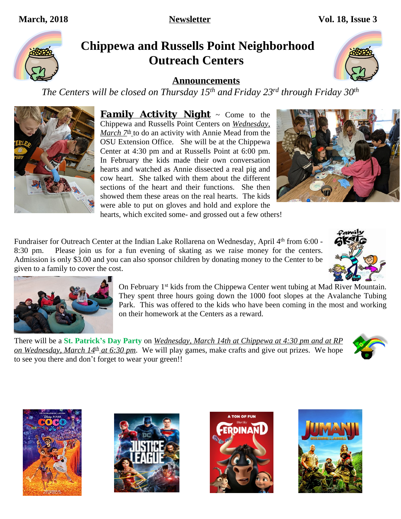# **Chippewa and Russells Point Neighborhood Outreach Centers**

**Announcements**

*The Centers will be closed on Thursday 15th and Friday 23rd through Friday 30th*

*Family Activity Night* ~ Come to the Chippewa and Russells Point Centers on *Wednesday, March*  $Z^{th}$  to do an activity with Annie Mead from the OSU Extension Office. She will be at the Chippewa Center at 4:30 pm and at Russells Point at 6:00 pm. In February the kids made their own conversation hearts and watched as Annie dissected a real pig and cow heart. She talked with them about the different sections of the heart and their functions. She then showed them these areas on the real hearts. The kids were able to put on gloves and hold and explore the

hearts, which excited some- and grossed out a few others!

Fundraiser for Outreach Center at the Indian Lake Rollarena on Wednesday, April 4th from 6:00 -8:30 pm. Please join us for a fun evening of skating as we raise money for the centers. Admission is only \$3.00 and you can also sponsor children by donating money to the Center to be given to a family to cover the cost.

> On February 1<sup>st</sup> kids from the Chippewa Center went tubing at Mad River Mountain. They spent three hours going down the 1000 foot slopes at the Avalanche Tubing Park. This was offered to the kids who have been coming in the most and working on their homework at the Centers as a reward.

There will be a **St. Patrick's Day Party** on *Wednesday, March 14th at Chippewa at 4:30 pm and at RP on Wednesday, March 14<sup>th</sup> at 6:30 pm*. We will play games, make crafts and give out prizes. We hope to see you there and don't forget to wear your green!!